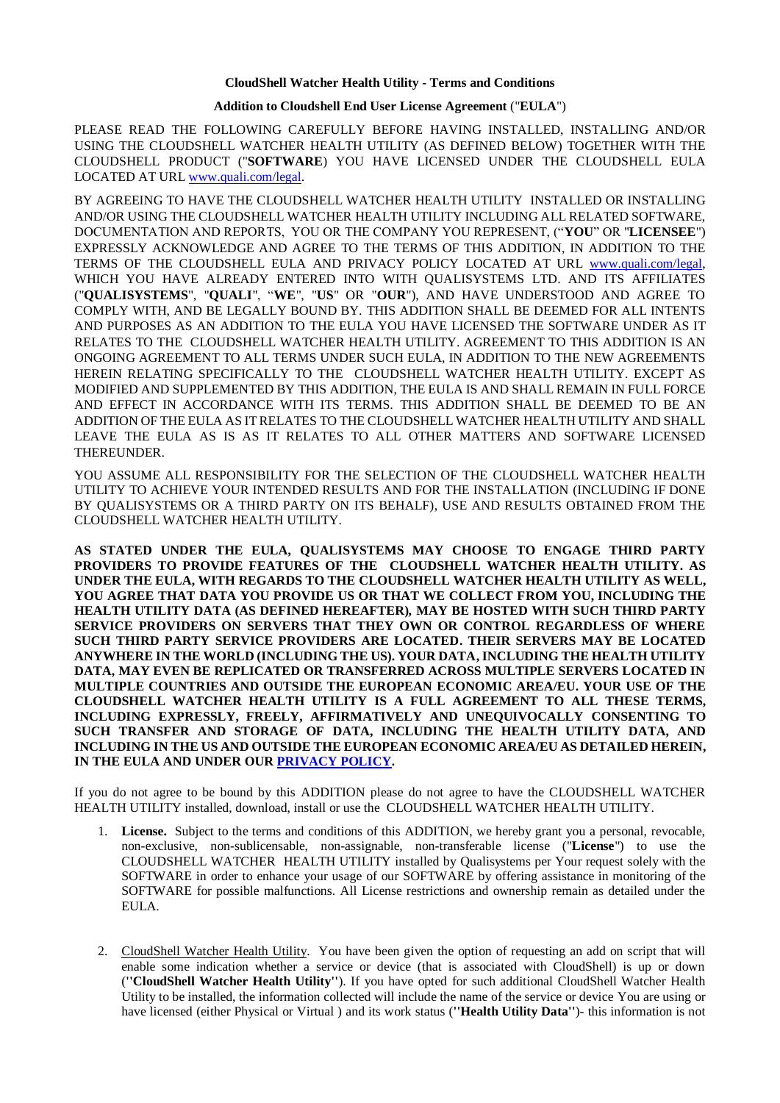## **CloudShell Watcher Health Utility - Terms and Conditions**

## **Addition to Cloudshell End User License Agreement** ("**EULA**")

PLEASE READ THE FOLLOWING CAREFULLY BEFORE HAVING INSTALLED, INSTALLING AND/OR USING THE CLOUDSHELL WATCHER HEALTH UTILITY (AS DEFINED BELOW) TOGETHER WITH THE CLOUDSHELL PRODUCT ("**SOFTWARE**) YOU HAVE LICENSED UNDER THE CLOUDSHELL EULA LOCATED AT URL [www.quali.com/legal.](http://www.quali.com/legal) 

BY AGREEING TO HAVE THE CLOUDSHELL WATCHER HEALTH UTILITY INSTALLED OR INSTALLING AND/OR USING THE CLOUDSHELL WATCHER HEALTH UTILITY INCLUDING ALL RELATED SOFTWARE, DOCUMENTATION AND REPORTS, YOU OR THE COMPANY YOU REPRESENT, ("**YOU**" OR "**LICENSEE**") EXPRESSLY ACKNOWLEDGE AND AGREE TO THE TERMS OF THIS ADDITION, IN ADDITION TO THE TERMS OF THE CLOUDSHELL EULA AND PRIVACY POLICY LOCATED AT URL [www.quali.com/legal,](http://www.quali.com/legal) WHICH YOU HAVE ALREADY ENTERED INTO WITH QUALISYSTEMS LTD. AND ITS AFFILIATES ("**QUALISYSTEMS**", "**QUALI**", "**WE**", "**US**" OR "**OUR**"), AND HAVE UNDERSTOOD AND AGREE TO COMPLY WITH, AND BE LEGALLY BOUND BY. THIS ADDITION SHALL BE DEEMED FOR ALL INTENTS AND PURPOSES AS AN ADDITION TO THE EULA YOU HAVE LICENSED THE SOFTWARE UNDER AS IT RELATES TO THE CLOUDSHELL WATCHER HEALTH UTILITY. AGREEMENT TO THIS ADDITION IS AN ONGOING AGREEMENT TO ALL TERMS UNDER SUCH EULA, IN ADDITION TO THE NEW AGREEMENTS HEREIN RELATING SPECIFICALLY TO THE CLOUDSHELL WATCHER HEALTH UTILITY. EXCEPT AS MODIFIED AND SUPPLEMENTED BY THIS ADDITION, THE EULA IS AND SHALL REMAIN IN FULL FORCE AND EFFECT IN ACCORDANCE WITH ITS TERMS. THIS ADDITION SHALL BE DEEMED TO BE AN ADDITION OF THE EULA AS IT RELATES TO THE CLOUDSHELL WATCHER HEALTH UTILITY AND SHALL LEAVE THE EULA AS IS AS IT RELATES TO ALL OTHER MATTERS AND SOFTWARE LICENSED THEREUNDER.

YOU ASSUME ALL RESPONSIBILITY FOR THE SELECTION OF THE CLOUDSHELL WATCHER HEALTH UTILITY TO ACHIEVE YOUR INTENDED RESULTS AND FOR THE INSTALLATION (INCLUDING IF DONE BY QUALISYSTEMS OR A THIRD PARTY ON ITS BEHALF), USE AND RESULTS OBTAINED FROM THE CLOUDSHELL WATCHER HEALTH UTILITY.

**AS STATED UNDER THE EULA, QUALISYSTEMS MAY CHOOSE TO ENGAGE THIRD PARTY PROVIDERS TO PROVIDE FEATURES OF THE CLOUDSHELL WATCHER HEALTH UTILITY. AS UNDER THE EULA, WITH REGARDS TO THE CLOUDSHELL WATCHER HEALTH UTILITY AS WELL, YOU AGREE THAT DATA YOU PROVIDE US OR THAT WE COLLECT FROM YOU, INCLUDING THE HEALTH UTILITY DATA (AS DEFINED HEREAFTER), MAY BE HOSTED WITH SUCH THIRD PARTY SERVICE PROVIDERS ON SERVERS THAT THEY OWN OR CONTROL REGARDLESS OF WHERE SUCH THIRD PARTY SERVICE PROVIDERS ARE LOCATED. THEIR SERVERS MAY BE LOCATED ANYWHERE IN THE WORLD (INCLUDING THE US). YOUR DATA, INCLUDING THE HEALTH UTILITY DATA, MAY EVEN BE REPLICATED OR TRANSFERRED ACROSS MULTIPLE SERVERS LOCATED IN MULTIPLE COUNTRIES AND OUTSIDE THE EUROPEAN ECONOMIC AREA/EU. YOUR USE OF THE CLOUDSHELL WATCHER HEALTH UTILITY IS A FULL AGREEMENT TO ALL THESE TERMS, INCLUDING EXPRESSLY, FREELY, AFFIRMATIVELY AND UNEQUIVOCALLY CONSENTING TO SUCH TRANSFER AND STORAGE OF DATA, INCLUDING THE HEALTH UTILITY DATA, AND INCLUDING IN THE US AND OUTSIDE THE EUROPEAN ECONOMIC AREA/EU AS DETAILED HEREIN, IN THE EULA AND UNDER OUR [PRIVACY POLICY.](http://quali.com/legal)**

If you do not agree to be bound by this ADDITION please do not agree to have the CLOUDSHELL WATCHER HEALTH UTILITY installed, download, install or use the CLOUDSHELL WATCHER HEALTH UTILITY.

- 1. **License.** Subject to the terms and conditions of this ADDITION, we hereby grant you a personal, revocable, non-exclusive, non-sublicensable, non-assignable, non-transferable license ("**License**") to use the CLOUDSHELL WATCHER HEALTH UTILITY installed by Qualisystems per Your request solely with the SOFTWARE in order to enhance your usage of our SOFTWARE by offering assistance in monitoring of the SOFTWARE for possible malfunctions. All License restrictions and ownership remain as detailed under the EULA.
- 2. CloudShell Watcher Health Utility. You have been given the option of requesting an add on script that will enable some indication whether a service or device (that is associated with CloudShell) is up or down (**''CloudShell Watcher Health Utility''**). If you have opted for such additional CloudShell Watcher Health Utility to be installed, the information collected will include the name of the service or device You are using or have licensed (either Physical or Virtual ) and its work status (**''Health Utility Data''**)- this information is not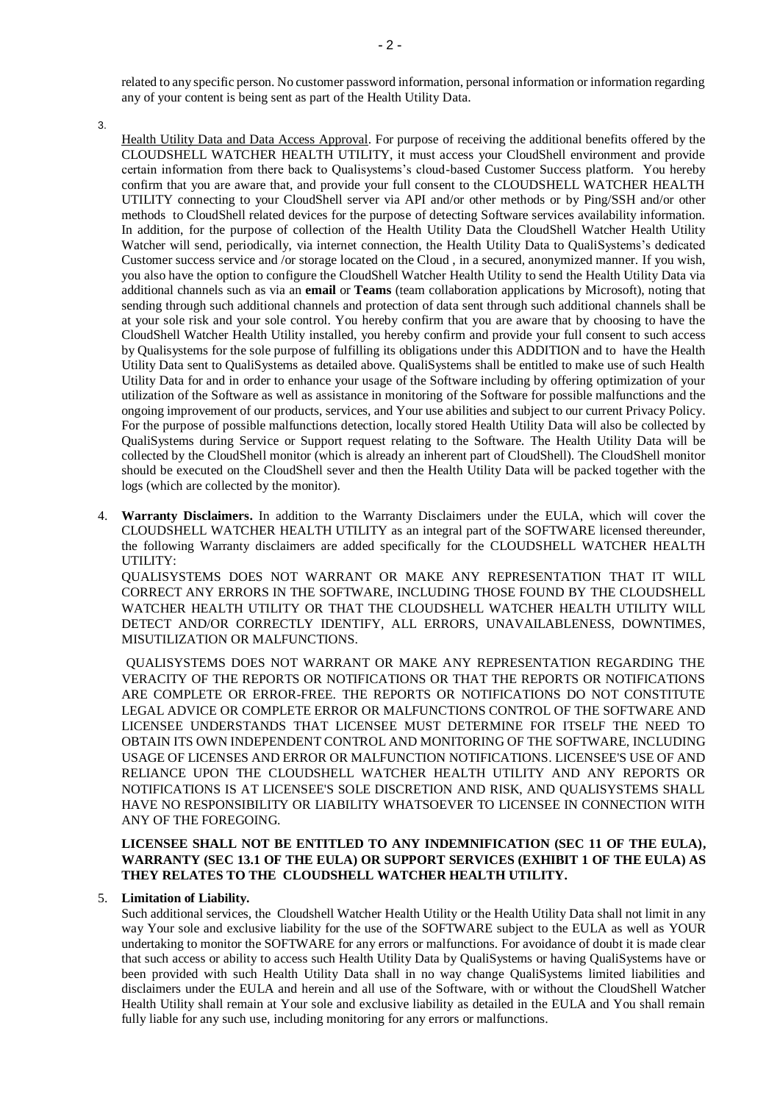related to any specific person. No customer password information, personal information or information regarding any of your content is being sent as part of the Health Utility Data.

3.

Health Utility Data and Data Access Approval. For purpose of receiving the additional benefits offered by the CLOUDSHELL WATCHER HEALTH UTILITY, it must access your CloudShell environment and provide certain information from there back to Qualisystems's cloud-based Customer Success platform. You hereby confirm that you are aware that, and provide your full consent to the CLOUDSHELL WATCHER HEALTH UTILITY connecting to your CloudShell server via API and/or other methods or by Ping/SSH and/or other methods to CloudShell related devices for the purpose of detecting Software services availability information. In addition, for the purpose of collection of the Health Utility Data the CloudShell Watcher Health Utility Watcher will send, periodically, via internet connection, the Health Utility Data to QualiSystems's dedicated Customer success service and /or storage located on the Cloud , in a secured, anonymized manner. If you wish, you also have the option to configure the CloudShell Watcher Health Utility to send the Health Utility Data via additional channels such as via an **email** or **Teams** (team collaboration applications by Microsoft), noting that sending through such additional channels and protection of data sent through such additional channels shall be at your sole risk and your sole control. You hereby confirm that you are aware that by choosing to have the CloudShell Watcher Health Utility installed, you hereby confirm and provide your full consent to such access by Qualisystems for the sole purpose of fulfilling its obligations under this ADDITION and to have the Health Utility Data sent to QualiSystems as detailed above. QualiSystems shall be entitled to make use of such Health Utility Data for and in order to enhance your usage of the Software including by offering optimization of your utilization of the Software as well as assistance in monitoring of the Software for possible malfunctions and the ongoing improvement of our products, services, and Your use abilities and subject to our current [Privacy Policy.](https://www.quali.com/qualiprivacypolicy) For the purpose of possible malfunctions detection, locally stored Health Utility Data will also be collected by QualiSystems during Service or Support request relating to the Software. The Health Utility Data will be collected by the CloudShell monitor (which is already an inherent part of CloudShell). The CloudShell monitor should be executed on the CloudShell sever and then the Health Utility Data will be packed together with the logs (which are collected by the monitor).

4. **Warranty Disclaimers.** In addition to the Warranty Disclaimers under the EULA, which will cover the CLOUDSHELL WATCHER HEALTH UTILITY as an integral part of the SOFTWARE licensed thereunder, the following Warranty disclaimers are added specifically for the CLOUDSHELL WATCHER HEALTH UTILITY:

QUALISYSTEMS DOES NOT WARRANT OR MAKE ANY REPRESENTATION THAT IT WILL CORRECT ANY ERRORS IN THE SOFTWARE, INCLUDING THOSE FOUND BY THE CLOUDSHELL WATCHER HEALTH UTILITY OR THAT THE CLOUDSHELL WATCHER HEALTH UTILITY WILL DETECT AND/OR CORRECTLY IDENTIFY, ALL ERRORS, UNAVAILABLENESS, DOWNTIMES, MISUTILIZATION OR MALFUNCTIONS.

QUALISYSTEMS DOES NOT WARRANT OR MAKE ANY REPRESENTATION REGARDING THE VERACITY OF THE REPORTS OR NOTIFICATIONS OR THAT THE REPORTS OR NOTIFICATIONS ARE COMPLETE OR ERROR-FREE. THE REPORTS OR NOTIFICATIONS DO NOT CONSTITUTE LEGAL ADVICE OR COMPLETE ERROR OR MALFUNCTIONS CONTROL OF THE SOFTWARE AND LICENSEE UNDERSTANDS THAT LICENSEE MUST DETERMINE FOR ITSELF THE NEED TO OBTAIN ITS OWN INDEPENDENT CONTROL AND MONITORING OF THE SOFTWARE, INCLUDING USAGE OF LICENSES AND ERROR OR MALFUNCTION NOTIFICATIONS. LICENSEE'S USE OF AND RELIANCE UPON THE CLOUDSHELL WATCHER HEALTH UTILITY AND ANY REPORTS OR NOTIFICATIONS IS AT LICENSEE'S SOLE DISCRETION AND RISK, AND QUALISYSTEMS SHALL HAVE NO RESPONSIBILITY OR LIABILITY WHATSOEVER TO LICENSEE IN CONNECTION WITH ANY OF THE FOREGOING.

## **LICENSEE SHALL NOT BE ENTITLED TO ANY INDEMNIFICATION (SEC 11 OF THE EULA), WARRANTY (SEC 13.1 OF THE EULA) OR SUPPORT SERVICES (EXHIBIT 1 OF THE EULA) AS THEY RELATES TO THE CLOUDSHELL WATCHER HEALTH UTILITY.**

## 5. **Limitation of Liability.**

Such additional services, the Cloudshell Watcher Health Utility or the Health Utility Data shall not limit in any way Your sole and exclusive liability for the use of the SOFTWARE subject to the EULA as well as YOUR undertaking to monitor the SOFTWARE for any errors or malfunctions. For avoidance of doubt it is made clear that such access or ability to access such Health Utility Data by QualiSystems or having QualiSystems have or been provided with such Health Utility Data shall in no way change QualiSystems limited liabilities and disclaimers under the EULA and herein and all use of the Software, with or without the CloudShell Watcher Health Utility shall remain at Your sole and exclusive liability as detailed in the EULA and You shall remain fully liable for any such use, including monitoring for any errors or malfunctions.